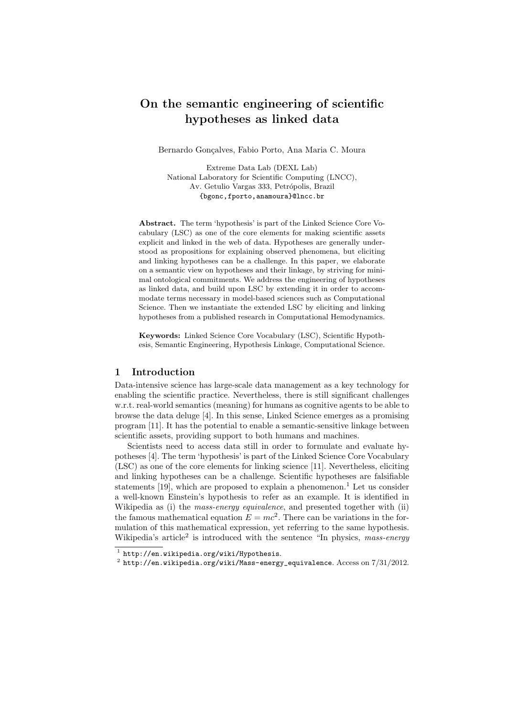# On the semantic engineering of scientific hypotheses as linked data

Bernardo Gonçalves, Fabio Porto, Ana Maria C. Moura

Extreme Data Lab (DEXL Lab) National Laboratory for Scientific Computing (LNCC), Av. Getulio Vargas 333, Petrópolis, Brazil {bgonc,fporto,anamoura}@lncc.br

Abstract. The term 'hypothesis' is part of the Linked Science Core Vocabulary (LSC) as one of the core elements for making scientific assets explicit and linked in the web of data. Hypotheses are generally understood as propositions for explaining observed phenomena, but eliciting and linking hypotheses can be a challenge. In this paper, we elaborate on a semantic view on hypotheses and their linkage, by striving for minimal ontological commitments. We address the engineering of hypotheses as linked data, and build upon LSC by extending it in order to accommodate terms necessary in model-based sciences such as Computational Science. Then we instantiate the extended LSC by eliciting and linking hypotheses from a published research in Computational Hemodynamics.

Keywords: Linked Science Core Vocabulary (LSC), Scientific Hypothesis, Semantic Engineering, Hypothesis Linkage, Computational Science.

# 1 Introduction

Data-intensive science has large-scale data management as a key technology for enabling the scientific practice. Nevertheless, there is still significant challenges w.r.t. real-world semantics (meaning) for humans as cognitive agents to be able to browse the data deluge [4]. In this sense, Linked Science emerges as a promising program [11]. It has the potential to enable a semantic-sensitive linkage between scientific assets, providing support to both humans and machines.

Scientists need to access data still in order to formulate and evaluate hypotheses [4]. The term 'hypothesis' is part of the Linked Science Core Vocabulary (LSC) as one of the core elements for linking science [11]. Nevertheless, eliciting and linking hypotheses can be a challenge. Scientific hypotheses are falsifiable statements  $[19]$ , which are proposed to explain a phenomenon.<sup>1</sup> Let us consider a well-known Einstein's hypothesis to refer as an example. It is identified in Wikipedia as (i) the mass-energy equivalence, and presented together with (ii) the famous mathematical equation  $E = mc^2$ . There can be variations in the formulation of this mathematical expression, yet referring to the same hypothesis. Wikipedia's article<sup>2</sup> is introduced with the sentence "In physics, mass-energy

 $<sup>1</sup>$  http://en.wikipedia.org/wiki/Hypothesis.</sup>

 $^2$  http://en.wikipedia.org/wiki/Mass-energy\_equivalence. Access on  $7/31/2012$ .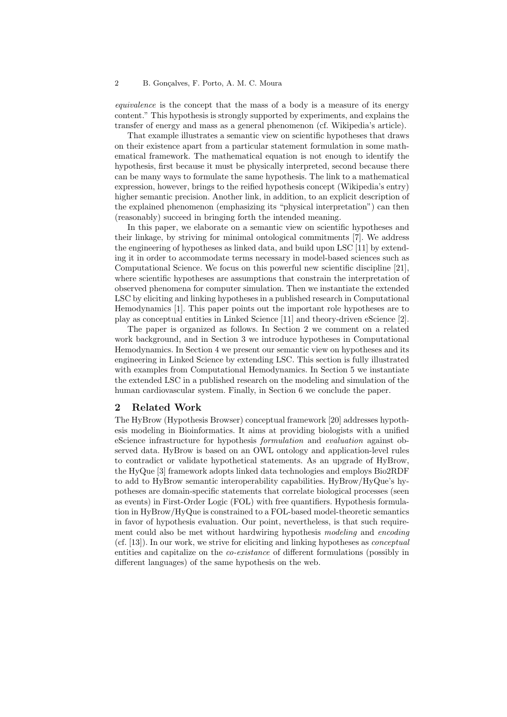equivalence is the concept that the mass of a body is a measure of its energy content." This hypothesis is strongly supported by experiments, and explains the transfer of energy and mass as a general phenomenon (cf. Wikipedia's article).

That example illustrates a semantic view on scientific hypotheses that draws on their existence apart from a particular statement formulation in some mathematical framework. The mathematical equation is not enough to identify the hypothesis, first because it must be physically interpreted, second because there can be many ways to formulate the same hypothesis. The link to a mathematical expression, however, brings to the reified hypothesis concept (Wikipedia's entry) higher semantic precision. Another link, in addition, to an explicit description of the explained phenomenon (emphasizing its "physical interpretation") can then (reasonably) succeed in bringing forth the intended meaning.

In this paper, we elaborate on a semantic view on scientific hypotheses and their linkage, by striving for minimal ontological commitments [7]. We address the engineering of hypotheses as linked data, and build upon LSC [11] by extending it in order to accommodate terms necessary in model-based sciences such as Computational Science. We focus on this powerful new scientific discipline [21], where scientific hypotheses are assumptions that constrain the interpretation of observed phenomena for computer simulation. Then we instantiate the extended LSC by eliciting and linking hypotheses in a published research in Computational Hemodynamics [1]. This paper points out the important role hypotheses are to play as conceptual entities in Linked Science [11] and theory-driven eScience [2].

The paper is organized as follows. In Section 2 we comment on a related work background, and in Section 3 we introduce hypotheses in Computational Hemodynamics. In Section 4 we present our semantic view on hypotheses and its engineering in Linked Science by extending LSC. This section is fully illustrated with examples from Computational Hemodynamics. In Section 5 we instantiate the extended LSC in a published research on the modeling and simulation of the human cardiovascular system. Finally, in Section 6 we conclude the paper.

## 2 Related Work

The HyBrow (Hypothesis Browser) conceptual framework [20] addresses hypothesis modeling in Bioinformatics. It aims at providing biologists with a unified eScience infrastructure for hypothesis formulation and evaluation against observed data. HyBrow is based on an OWL ontology and application-level rules to contradict or validate hypothetical statements. As an upgrade of HyBrow, the HyQue [3] framework adopts linked data technologies and employs Bio2RDF to add to HyBrow semantic interoperability capabilities. HyBrow/HyQue's hypotheses are domain-specific statements that correlate biological processes (seen as events) in First-Order Logic (FOL) with free quantifiers. Hypothesis formulation in HyBrow/HyQue is constrained to a FOL-based model-theoretic semantics in favor of hypothesis evaluation. Our point, nevertheless, is that such requirement could also be met without hardwiring hypothesis modeling and encoding (cf. [13]). In our work, we strive for eliciting and linking hypotheses as conceptual entities and capitalize on the co-existance of different formulations (possibly in different languages) of the same hypothesis on the web.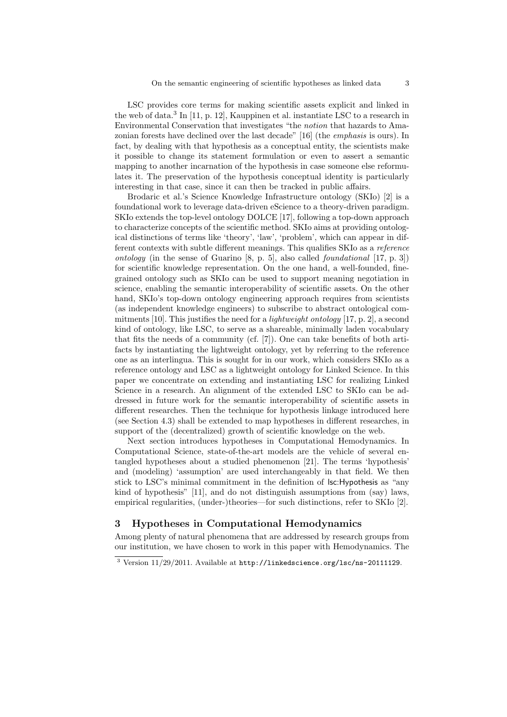LSC provides core terms for making scientific assets explicit and linked in the web of data.<sup>3</sup> In [11, p. 12], Kauppinen et al. instantiate LSC to a research in Environmental Conservation that investigates "the notion that hazards to Amazonian forests have declined over the last decade" [16] (the emphasis is ours). In fact, by dealing with that hypothesis as a conceptual entity, the scientists make it possible to change its statement formulation or even to assert a semantic mapping to another incarnation of the hypothesis in case someone else reformulates it. The preservation of the hypothesis conceptual identity is particularly interesting in that case, since it can then be tracked in public affairs.

Brodaric et al.'s Science Knowledge Infrastructure ontology (SKIo) [2] is a foundational work to leverage data-driven eScience to a theory-driven paradigm. SKIo extends the top-level ontology DOLCE [17], following a top-down approach to characterize concepts of the scientific method. SKIo aims at providing ontological distinctions of terms like 'theory', 'law', 'problem', which can appear in different contexts with subtle different meanings. This qualifies SKIo as a reference ontology (in the sense of Guarino  $[8, p, 5]$ , also called *foundational* [17, p. 3]) for scientific knowledge representation. On the one hand, a well-founded, finegrained ontology such as SKIo can be used to support meaning negotiation in science, enabling the semantic interoperability of scientific assets. On the other hand, SKI<sup>o</sup>'s top-down ontology engineering approach requires from scientists (as independent knowledge engineers) to subscribe to abstract ontological commitments [10]. This justifies the need for a *lightweight ontology* [17, p. 2], a second kind of ontology, like LSC, to serve as a shareable, minimally laden vocabulary that fits the needs of a community (cf. [7]). One can take benefits of both artifacts by instantiating the lightweight ontology, yet by referring to the reference one as an interlingua. This is sought for in our work, which considers SKIo as a reference ontology and LSC as a lightweight ontology for Linked Science. In this paper we concentrate on extending and instantiating LSC for realizing Linked Science in a research. An alignment of the extended LSC to SKIo can be addressed in future work for the semantic interoperability of scientific assets in different researches. Then the technique for hypothesis linkage introduced here (see Section 4.3) shall be extended to map hypotheses in different researches, in support of the (decentralized) growth of scientific knowledge on the web.

Next section introduces hypotheses in Computational Hemodynamics. In Computational Science, state-of-the-art models are the vehicle of several entangled hypotheses about a studied phenomenon [21]. The terms 'hypothesis' and (modeling) 'assumption' are used interchangeably in that field. We then stick to LSC's minimal commitment in the definition of lsc:Hypothesis as "any kind of hypothesis" [11], and do not distinguish assumptions from (say) laws, empirical regularities, (under-)theories—for such distinctions, refer to SKIo [2].

# 3 Hypotheses in Computational Hemodynamics

Among plenty of natural phenomena that are addressed by research groups from our institution, we have chosen to work in this paper with Hemodynamics. The

 $3$  Version 11/29/2011. Available at http://linkedscience.org/lsc/ns-20111129.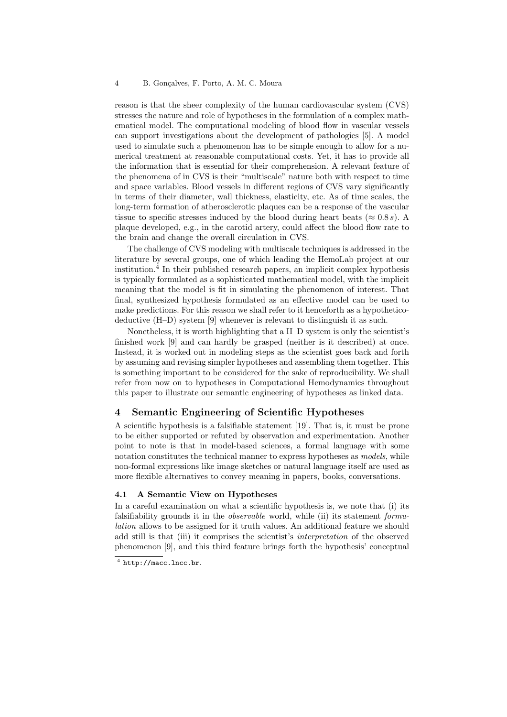reason is that the sheer complexity of the human cardiovascular system (CVS) stresses the nature and role of hypotheses in the formulation of a complex mathematical model. The computational modeling of blood flow in vascular vessels can support investigations about the development of pathologies [5]. A model used to simulate such a phenomenon has to be simple enough to allow for a numerical treatment at reasonable computational costs. Yet, it has to provide all the information that is essential for their comprehension. A relevant feature of the phenomena of in CVS is their "multiscale" nature both with respect to time and space variables. Blood vessels in different regions of CVS vary significantly in terms of their diameter, wall thickness, elasticity, etc. As of time scales, the long-term formation of atherosclerotic plaques can be a response of the vascular tissue to specific stresses induced by the blood during heart beats ( $\approx 0.8 s$ ). A plaque developed, e.g., in the carotid artery, could affect the blood flow rate to the brain and change the overall circulation in CVS.

The challenge of CVS modeling with multiscale techniques is addressed in the literature by several groups, one of which leading the HemoLab project at our institution.<sup>4</sup> In their published research papers, an implicit complex hypothesis is typically formulated as a sophisticated mathematical model, with the implicit meaning that the model is fit in simulating the phenomenon of interest. That final, synthesized hypothesis formulated as an effective model can be used to make predictions. For this reason we shall refer to it henceforth as a hypotheticodeductive (H–D) system [9] whenever is relevant to distinguish it as such.

Nonetheless, it is worth highlighting that a H–D system is only the scientist's finished work [9] and can hardly be grasped (neither is it described) at once. Instead, it is worked out in modeling steps as the scientist goes back and forth by assuming and revising simpler hypotheses and assembling them together. This is something important to be considered for the sake of reproducibility. We shall refer from now on to hypotheses in Computational Hemodynamics throughout this paper to illustrate our semantic engineering of hypotheses as linked data.

## 4 Semantic Engineering of Scientific Hypotheses

A scientific hypothesis is a falsifiable statement [19]. That is, it must be prone to be either supported or refuted by observation and experimentation. Another point to note is that in model-based sciences, a formal language with some notation constitutes the technical manner to express hypotheses as *models*, while non-formal expressions like image sketches or natural language itself are used as more flexible alternatives to convey meaning in papers, books, conversations.

## 4.1 A Semantic View on Hypotheses

In a careful examination on what a scientific hypothesis is, we note that (i) its falsifiability grounds it in the *observable* world, while (ii) its statement formulation allows to be assigned for it truth values. An additional feature we should add still is that (iii) it comprises the scientist's interpretation of the observed phenomenon [9], and this third feature brings forth the hypothesis' conceptual

 $<sup>4</sup>$  http://macc.lncc.br.</sup>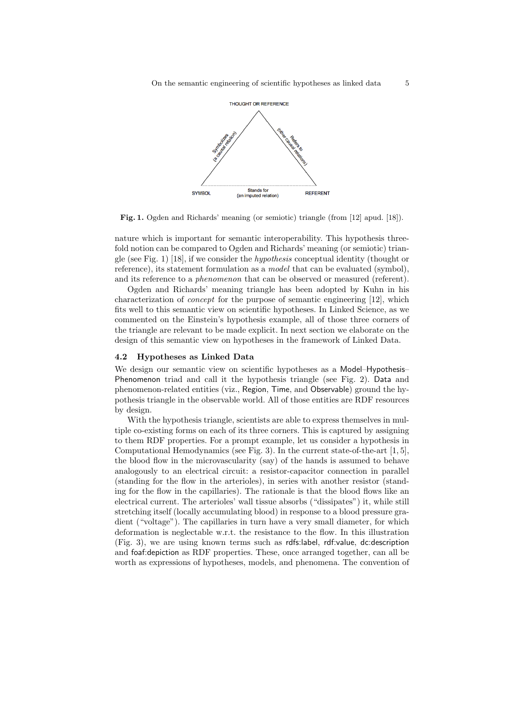

Fig. 1. Ogden and Richards' meaning (or semiotic) triangle (from [12] apud. [18]).

nature which is important for semantic interoperability. This hypothesis threefold notion can be compared to Ogden and Richards' meaning (or semiotic) triangle (see Fig. 1) [18], if we consider the hypothesis conceptual identity (thought or reference), its statement formulation as a model that can be evaluated (symbol), and its reference to a phenomenon that can be observed or measured (referent).

Ogden and Richards' meaning triangle has been adopted by Kuhn in his characterization of concept for the purpose of semantic engineering [12], which fits well to this semantic view on scientific hypotheses. In Linked Science, as we commented on the Einstein's hypothesis example, all of those three corners of the triangle are relevant to be made explicit. In next section we elaborate on the design of this semantic view on hypotheses in the framework of Linked Data.

### 4.2 Hypotheses as Linked Data

We design our semantic view on scientific hypotheses as a Model–Hypothesis– Phenomenon triad and call it the hypothesis triangle (see Fig. 2). Data and phenomenon-related entities (viz., Region, Time, and Observable) ground the hypothesis triangle in the observable world. All of those entities are RDF resources by design.

With the hypothesis triangle, scientists are able to express themselves in multiple co-existing forms on each of its three corners. This is captured by assigning to them RDF properties. For a prompt example, let us consider a hypothesis in Computational Hemodynamics (see Fig. 3). In the current state-of-the-art [1, 5], the blood flow in the microvascularity (say) of the hands is assumed to behave analogously to an electrical circuit: a resistor-capacitor connection in parallel (standing for the flow in the arterioles), in series with another resistor (standing for the flow in the capillaries). The rationale is that the blood flows like an electrical current. The arterioles' wall tissue absorbs ("dissipates") it, while still stretching itself (locally accumulating blood) in response to a blood pressure gradient ("voltage"). The capillaries in turn have a very small diameter, for which deformation is neglectable w.r.t. the resistance to the flow. In this illustration (Fig. 3), we are using known terms such as rdfs:label, rdf:value, dc:description and foaf:depiction as RDF properties. These, once arranged together, can all be worth as expressions of hypotheses, models, and phenomena. The convention of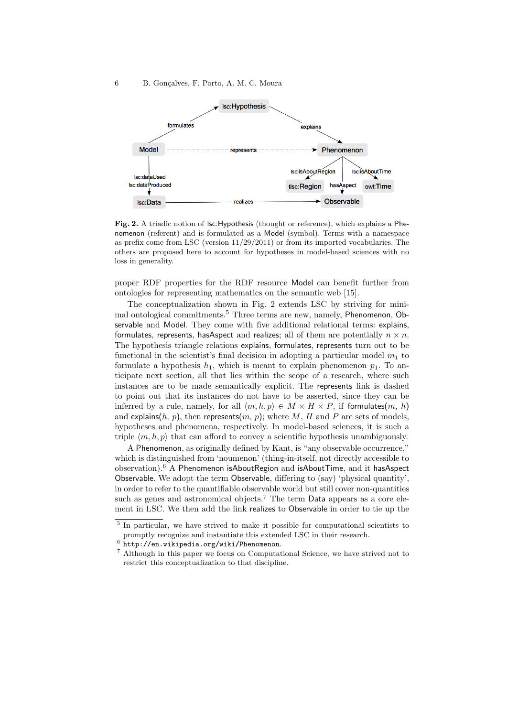

Fig. 2. A triadic notion of lsc:Hypothesis (thought or reference), which explains a Phenomenon (referent) and is formulated as a Model (symbol). Terms with a namespace as prefix come from LSC (version 11/29/2011) or from its imported vocabularies. The others are proposed here to account for hypotheses in model-based sciences with no loss in generality.

proper RDF properties for the RDF resource Model can benefit further from ontologies for representing mathematics on the semantic web [15].

The conceptualization shown in Fig. 2 extends LSC by striving for minimal ontological commitments.<sup>5</sup> Three terms are new, namely, Phenomenon, Observable and Model. They come with five additional relational terms: explains, formulates, represents, has Aspect and realizes; all of them are potentially  $n \times n$ . The hypothesis triangle relations explains, formulates, represents turn out to be functional in the scientist's final decision in adopting a particular model  $m_1$  to formulate a hypothesis  $h_1$ , which is meant to explain phenomenon  $p_1$ . To anticipate next section, all that lies within the scope of a research, where such instances are to be made semantically explicit. The represents link is dashed to point out that its instances do not have to be asserted, since they can be inferred by a rule, namely, for all  $\langle m, h, p \rangle \in M \times H \times P$ , if formulates $(m, h)$ and explains(h, p), then represents(m, p); where M, H and P are sets of models, hypotheses and phenomena, respectively. In model-based sciences, it is such a triple  $\langle m, h, p \rangle$  that can afford to convey a scientific hypothesis unambiguously.

A Phenomenon, as originally defined by Kant, is "any observable occurrence," which is distinguished from 'noumenon' (thing-in-itself, not directly accessible to observation).<sup>6</sup> A Phenomenon isAboutRegion and isAboutTime, and it hasAspect Observable. We adopt the term Observable, differing to (say) 'physical quantity', in order to refer to the quantifiable observable world but still cover non-quantities such as genes and astronomical objects.<sup>7</sup> The term Data appears as a core element in LSC. We then add the link realizes to Observable in order to tie up the

<sup>&</sup>lt;sup>5</sup> In particular, we have strived to make it possible for computational scientists to promptly recognize and instantiate this extended LSC in their research.

 $^6$  http://en.wikipedia.org/wiki/Phenomenon.

<sup>7</sup> Although in this paper we focus on Computational Science, we have strived not to restrict this conceptualization to that discipline.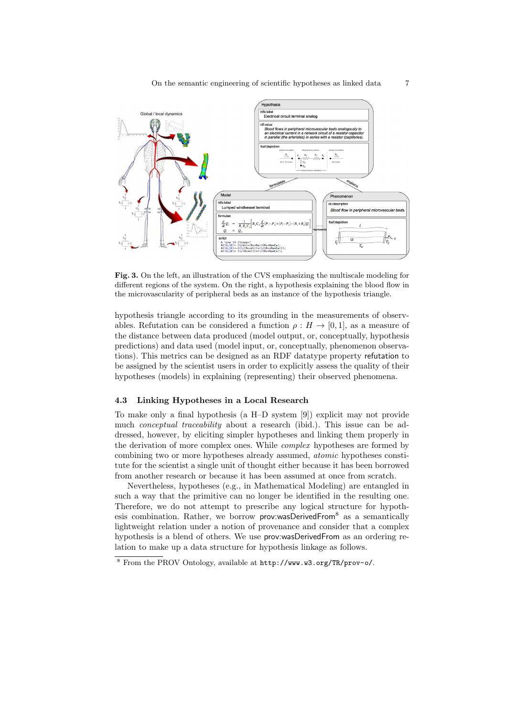

Fig. 3. On the left, an illustration of the CVS emphasizing the multiscale modeling for different regions of the system. On the right, a hypothesis explaining the blood flow in the microvascularity of peripheral beds as an instance of the hypothesis triangle.

hypothesis triangle according to its grounding in the measurements of observables. Refutation can be considered a function  $\rho : H \to [0,1]$ , as a measure of the distance between data produced (model output, or, conceptually, hypothesis predictions) and data used (model input, or, conceptually, phenomenon observations). This metrics can be designed as an RDF datatype property refutation to be assigned by the scientist users in order to explicitly assess the quality of their hypotheses (models) in explaining (representing) their observed phenomena.

### 4.3 Linking Hypotheses in a Local Research

To make only a final hypothesis (a H–D system [9]) explicit may not provide much *conceptual traceability* about a research (ibid.). This issue can be addressed, however, by eliciting simpler hypotheses and linking them properly in the derivation of more complex ones. While complex hypotheses are formed by combining two or more hypotheses already assumed, atomic hypotheses constitute for the scientist a single unit of thought either because it has been borrowed from another research or because it has been assumed at once from scratch.

Nevertheless, hypotheses (e.g., in Mathematical Modeling) are entangled in such a way that the primitive can no longer be identified in the resulting one. Therefore, we do not attempt to prescribe any logical structure for hypothesis combination. Rather, we borrow prov:wasDerivedFrom $8$  as a semantically lightweight relation under a notion of provenance and consider that a complex hypothesis is a blend of others. We use prov:wasDerivedFrom as an ordering relation to make up a data structure for hypothesis linkage as follows.

<sup>8</sup> From the PROV Ontology, available at http://www.w3.org/TR/prov-o/.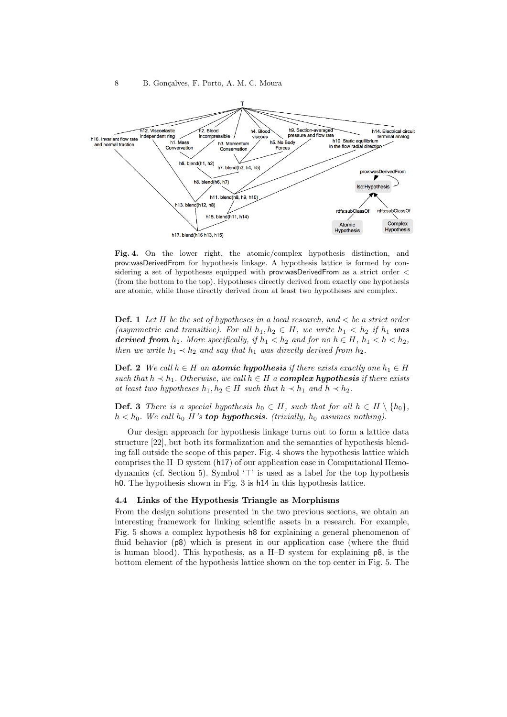

Fig. 4. On the lower right, the atomic/complex hypothesis distinction, and prov:wasDerivedFrom for hypothesis linkage. A hypothesis lattice is formed by considering a set of hypotheses equipped with prov:wasDerivedFrom as a strict order < (from the bottom to the top). Hypotheses directly derived from exactly one hypothesis are atomic, while those directly derived from at least two hypotheses are complex.

**Def.** 1 Let H be the set of hypotheses in a local research, and  $\lt$  be a strict order (asymmetric and transitive). For all  $h_1, h_2 \in H$ , we write  $h_1 < h_2$  if  $h_1$  was **derived from**  $h_2$ . More specifically, if  $h_1 < h_2$  and for no  $h \in H$ ,  $h_1 < h < h_2$ , then we write  $h_1 \prec h_2$  and say that  $h_1$  was directly derived from  $h_2$ .

**Def. 2** We call  $h \in H$  an atomic hypothesis if there exists exactly one  $h_1 \in H$ such that  $h \prec h_1$ . Otherwise, we call  $h \in H$  a **complex hypothesis** if there exists at least two hypotheses  $h_1, h_2 \in H$  such that  $h \prec h_1$  and  $h \prec h_2$ .

**Def. 3** There is a special hypothesis  $h_0 \in H$ , such that for all  $h \in H \setminus \{h_0\}$ ,  $h < h_0$ . We call  $h_0$  H's **top hypothesis**. (trivially,  $h_0$  assumes nothing).

Our design approach for hypothesis linkage turns out to form a lattice data structure [22], but both its formalization and the semantics of hypothesis blending fall outside the scope of this paper. Fig. 4 shows the hypothesis lattice which comprises the H–D system (h17) of our application case in Computational Hemodynamics (cf. Section 5). Symbol  $\mathcal{T}'$  is used as a label for the top hypothesis h0. The hypothesis shown in Fig. 3 is h14 in this hypothesis lattice.

#### 4.4 Links of the Hypothesis Triangle as Morphisms

From the design solutions presented in the two previous sections, we obtain an interesting framework for linking scientific assets in a research. For example, Fig. 5 shows a complex hypothesis h8 for explaining a general phenomenon of fluid behavior (p8) which is present in our application case (where the fluid is human blood). This hypothesis, as a H–D system for explaining p8, is the bottom element of the hypothesis lattice shown on the top center in Fig. 5. The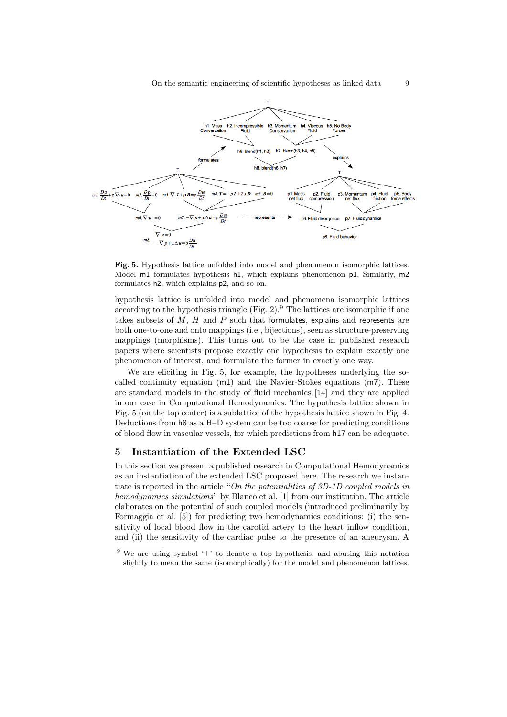

Fig. 5. Hypothesis lattice unfolded into model and phenomenon isomorphic lattices. Model m1 formulates hypothesis h1, which explains phenomenon p1. Similarly, m2 formulates h2, which explains p2, and so on.

hypothesis lattice is unfolded into model and phenomena isomorphic lattices according to the hypothesis triangle  $(Fig. 2)$ .<sup>9</sup> The lattices are isomorphic if one takes subsets of  $M$ ,  $H$  and  $P$  such that formulates, explains and represents are both one-to-one and onto mappings (i.e., bijections), seen as structure-preserving mappings (morphisms). This turns out to be the case in published research papers where scientists propose exactly one hypothesis to explain exactly one phenomenon of interest, and formulate the former in exactly one way.

We are eliciting in Fig. 5, for example, the hypotheses underlying the socalled continuity equation  $(m1)$  and the Navier-Stokes equations  $(m7)$ . These are standard models in the study of fluid mechanics [14] and they are applied in our case in Computational Hemodynamics. The hypothesis lattice shown in Fig. 5 (on the top center) is a sublattice of the hypothesis lattice shown in Fig. 4. Deductions from h8 as a H–D system can be too coarse for predicting conditions of blood flow in vascular vessels, for which predictions from h17 can be adequate.

## 5 Instantiation of the Extended LSC

In this section we present a published research in Computational Hemodynamics as an instantiation of the extended LSC proposed here. The research we instantiate is reported in the article "On the potentialities of 3D-1D coupled models in hemodynamics simulations" by Blanco et al. [1] from our institution. The article elaborates on the potential of such coupled models (introduced preliminarily by Formaggia et al. [5]) for predicting two hemodynamics conditions: (i) the sensitivity of local blood flow in the carotid artery to the heart inflow condition, and (ii) the sensitivity of the cardiac pulse to the presence of an aneurysm. A

 $9$  We are using symbol ' $\top$ ' to denote a top hypothesis, and abusing this notation slightly to mean the same (isomorphically) for the model and phenomenon lattices.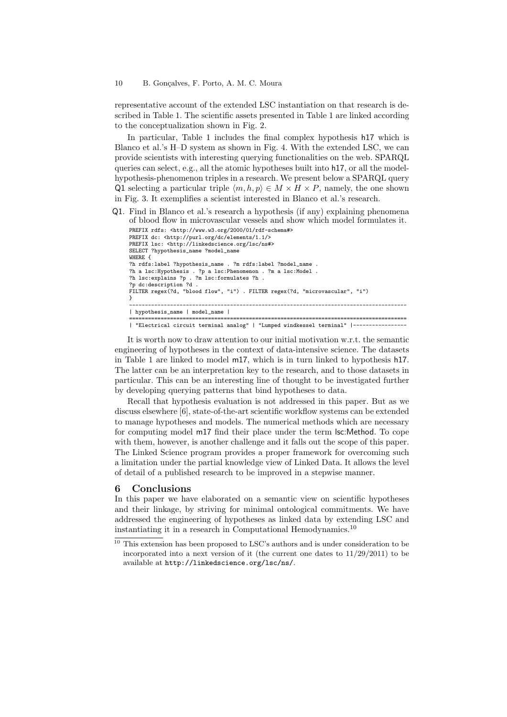#### 10 B. Gonçalves, F. Porto, A. M. C. Moura

representative account of the extended LSC instantiation on that research is described in Table 1. The scientific assets presented in Table 1 are linked according to the conceptualization shown in Fig. 2.

In particular, Table 1 includes the final complex hypothesis h17 which is Blanco et al.'s H–D system as shown in Fig. 4. With the extended LSC, we can provide scientists with interesting querying functionalities on the web. SPARQL queries can select, e.g., all the atomic hypotheses built into h17, or all the modelhypothesis-phenomenon triples in a research. We present below a SPARQL query Q1 selecting a particular triple  $\langle m, h, p \rangle \in M \times H \times P$ , namely, the one shown in Fig. 3. It exemplifies a scientist interested in Blanco et al.'s research.

Q1. Find in Blanco et al.'s research a hypothesis (if any) explaining phenomena of blood flow in microvascular vessels and show which model formulates it.

```
PREFIX rdfs: <http://www.w3.org/2000/01/rdf-schema#>
PREFIX dc: <http://purl.org/dc/elements/1.1/>
PREFIX lsc: <http://linkedscience.org/lsc/ns#>
SELECT ?hypothesis_name ?model_name
WHERE {
?h rdfs:label ?hypothesis_name . ?m rdfs:label ?model_name .
?h a lsc:Hypothesis . ?p a lsc:Phenomenon . ?m a lsc:Model .
?h lsc:explains ?p . ?m lsc:formulates ?h .
?p dc:description ?d .
FILTER regex(?d, "blood flow", "i") . FILTER regex(?d, "microvascular", "i")
}
----------------------------------------------------------------------------------------
| hypothesis_name | model_name |
========================================================================================
| "Electrical circuit terminal analog" | "Lumped windkessel terminal" |-----------------
```
It is worth now to draw attention to our initial motivation w.r.t. the semantic engineering of hypotheses in the context of data-intensive science. The datasets in Table 1 are linked to model m17, which is in turn linked to hypothesis h17. The latter can be an interpretation key to the research, and to those datasets in particular. This can be an interesting line of thought to be investigated further by developing querying patterns that bind hypotheses to data.

Recall that hypothesis evaluation is not addressed in this paper. But as we discuss elsewhere [6], state-of-the-art scientific workflow systems can be extended to manage hypotheses and models. The numerical methods which are necessary for computing model m17 find their place under the term lsc:Method. To cope with them, however, is another challenge and it falls out the scope of this paper. The Linked Science program provides a proper framework for overcoming such a limitation under the partial knowledge view of Linked Data. It allows the level of detail of a published research to be improved in a stepwise manner.

## 6 Conclusions

In this paper we have elaborated on a semantic view on scientific hypotheses and their linkage, by striving for minimal ontological commitments. We have addressed the engineering of hypotheses as linked data by extending LSC and instantiating it in a research in Computational Hemodynamics.<sup>10</sup>

 $\frac{10}{10}$  This extension has been proposed to LSC's authors and is under consideration to be incorporated into a next version of it (the current one dates to  $11/29/2011$ ) to be available at http://linkedscience.org/lsc/ns/.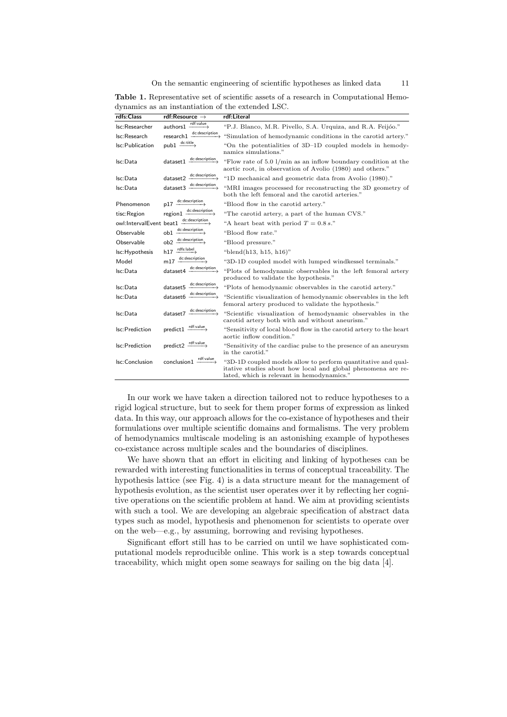On the semantic engineering of scientific hypotheses as linked data 11

|  |  | <b>Table 1.</b> Representative set of scientific assets of a research in Computational Hemo- |  |  |  |
|--|--|----------------------------------------------------------------------------------------------|--|--|--|
|  |  | dynamics as an instantiation of the extended LSC.                                            |  |  |  |

| rdfs:Class      | rdf:Resource $\rightarrow$                                                   | rdf:Literal                                                                                                                                                                 |
|-----------------|------------------------------------------------------------------------------|-----------------------------------------------------------------------------------------------------------------------------------------------------------------------------|
| Isc:Researcher  | authors1 rdf:value                                                           | "P.J. Blanco, M.R. Pivello, S.A. Urquiza, and R.A. Feijóo."                                                                                                                 |
| Isc:Research    | $\xrightarrow{\text{descriptation}}$<br>research1                            | "Simulation of hemodynamic conditions in the carotid artery."                                                                                                               |
| Isc:Publication | $pub1 \xrightarrow{dctitle}$                                                 | "On the potentialities of 3D-1D coupled models in hemody-<br>namics simulations."                                                                                           |
| Isc:Data        | dc:description<br>dataset1                                                   | "Flow rate of 5.0 $1/\text{min}$ as an inflow boundary condition at the<br>aortic root, in observation of Avolio (1980) and others."                                        |
| Isc:Data        | $\text{dataset2} \xrightarrow{\text{dc:description}}$                        | "1D mechanical and geometric data from Avolio (1980)."                                                                                                                      |
| Isc:Data        | $\texttt{dataset3} \xrightarrow{\texttt{dc:description}}$                    | "MRI images processed for reconstructing the 3D geometry of<br>both the left femoral and the carotid arteries."                                                             |
| Phenomenon      | $p17 \xrightarrow{dc:description}$                                           | "Blood flow in the carotid artery."                                                                                                                                         |
| tisc:Region     | $region1 \xrightarrow{dc:description}$                                       | "The carotid artery, a part of the human CVS."                                                                                                                              |
|                 | $\text{owl:} \text{IntervalEvent beat1} \xrightarrow{\text{dc:description}}$ | "A heart beat with period $T = 0.8 s$ ."                                                                                                                                    |
| Observable      | $\texttt{obl} \xrightarrow{\texttt{dc:description}}$                         | "Blood flow rate."                                                                                                                                                          |
| Observable      | $ob2 \xrightarrow{dc:description}$                                           | "Blood pressure."                                                                                                                                                           |
| Isc: Hypothesis | $h17 \xrightarrow{rdfs:label}$                                               | "blend $(h13, h15, h16)$ "                                                                                                                                                  |
| Model           | $m17 \xrightarrow{dc:description}$                                           | "3D-1D coupled model with lumped windkessel terminals."                                                                                                                     |
| Isc:Data        | $\texttt{dataset4} \xrightarrow{\texttt{dc:description}}$                    | "Plots of hemodynamic observables in the left femoral artery<br>produced to validate the hypothesis."                                                                       |
| Isc:Data        | $\text{dataset5} \xrightarrow{\text{dc:description}}$                        | "Plots of hemodynamic observables in the carotid artery."                                                                                                                   |
| Isc:Data        | dc:description<br>dataset6 -                                                 | "Scientific visualization of hemodynamic observables in the left<br>femoral artery produced to validate the hypothesis."                                                    |
| Isc:Data        | dataset7 dc:description                                                      | "Scientific visualization of hemodynamic observables in the<br>carotid artery both with and without aneurism."                                                              |
| Isc:Prediction  | $predict1 \xrightarrow{rdf:value}$                                           | "Sensitivity of local blood flow in the carotid artery to the heart"<br>aortic inflow condition."                                                                           |
| Isc:Prediction  | $predict2 \xrightarrow{rdf:value}$                                           | "Sensitivity of the cardiac pulse to the presence of an aneurysm<br>in the carotid."                                                                                        |
| Isc:Conclusion  | $conclusion1 \xrightarrow{rdf:value}$                                        | "3D-1D coupled models allow to perform quantitative and qual-<br>itative studies about how local and global phenomena are re-<br>lated, which is relevant in hemodynamics." |

In our work we have taken a direction tailored not to reduce hypotheses to a rigid logical structure, but to seek for them proper forms of expression as linked data. In this way, our approach allows for the co-existance of hypotheses and their formulations over multiple scientific domains and formalisms. The very problem of hemodynamics multiscale modeling is an astonishing example of hypotheses co-existance across multiple scales and the boundaries of disciplines.

We have shown that an effort in eliciting and linking of hypotheses can be rewarded with interesting functionalities in terms of conceptual traceability. The hypothesis lattice (see Fig. 4) is a data structure meant for the management of hypothesis evolution, as the scientist user operates over it by reflecting her cognitive operations on the scientific problem at hand. We aim at providing scientists with such a tool. We are developing an algebraic specification of abstract data types such as model, hypothesis and phenomenon for scientists to operate over on the web—e.g., by assuming, borrowing and revising hypotheses.

Significant effort still has to be carried on until we have sophisticated computational models reproducible online. This work is a step towards conceptual traceability, which might open some seaways for sailing on the big data [4].